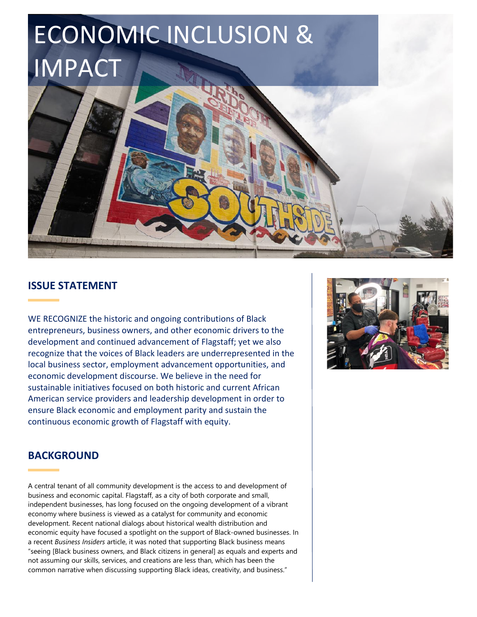

# **ISSUE STATEMENT**

WE RECOGNIZE the historic and ongoing contributions of Black entrepreneurs, business owners, and other economic drivers to the development and continued advancement of Flagstaff; yet we also recognize that the voices of Black leaders are underrepresented in the local business sector, employment advancement opportunities, and economic development discourse. We believe in the need for sustainable initiatives focused on both historic and current African American service providers and leadership development in order to ensure Black economic and employment parity and sustain the continuous economic growth of Flagstaff with equity.



# **BACKGROUND**

A central tenant of all community development is the access to and development of business and economic capital. Flagstaff, as a city of both corporate and small, independent businesses, has long focused on the ongoing development of a vibrant economy where business is viewed as a catalyst for community and economic development. Recent national dialogs about historical wealth distribution and economic equity have focused a spotlight on the support of Black-owned businesses. In a recent *Business Insiders* article, it was noted that supporting Black business means "seeing [Black business owners, and Black citizens in general] as equals and experts and not assuming our skills, services, and creations are less than, which has been the common narrative when discussing supporting Black ideas, creativity, and business."